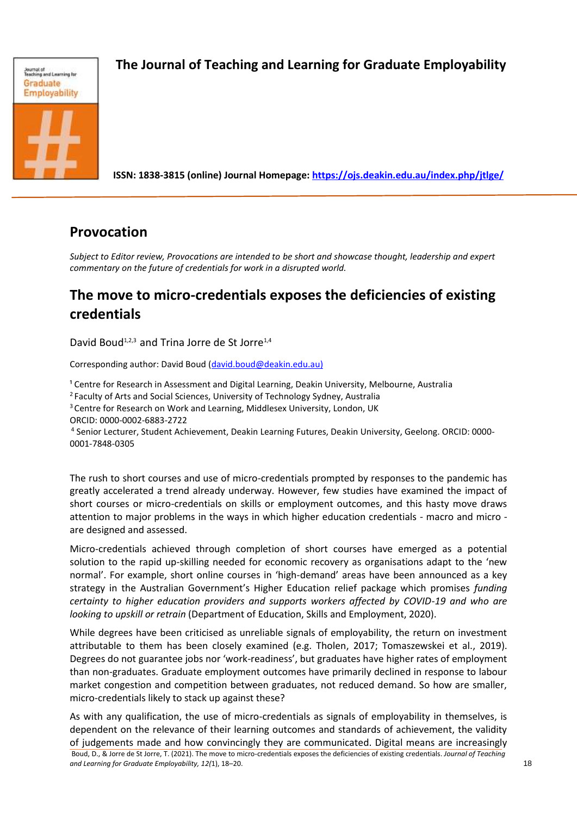

# *Expate transmise Employability* The Journal of Teaching and Learning for Graduate Employability

 **ISSN: 1838-3815 (online) Journal Homepage:<https://ojs.deakin.edu.au/index.php/jtlge/>**

### **Provocation**

*Subject to Editor review, Provocations are intended to be short and showcase thought, leadership and expert commentary on the future of credentials for work in a disrupted world.*

## **The move to micro-credentials exposes the deficiencies of existing credentials**

David Boud<sup>1,2,3</sup> and Trina Jorre de St Jorre<sup>1,4</sup>

Corresponding author: David Boud [\(david.boud@deakin.edu.au\)](mailto:david.boud@deakin.edu.au)

<sup>1</sup> Centre for Research in Assessment and Digital Learning, Deakin University, Melbourne, Australia

<sup>2</sup>Faculty of Arts and Social Sciences, University of Technology Sydney, Australia

<sup>3</sup> Centre for Research on Work and Learning, Middlesex University, London, UK

ORCID: 0000-0002-6883-2722

4 Senior Lecturer, Student Achievement, Deakin Learning Futures, Deakin University, Geelong. ORCID: 0000- 0001-7848-0305

The rush to short courses and use of micro-credentials prompted by responses to the pandemic has greatly accelerated a trend already underway. However, few studies have examined the impact of short courses or micro-credentials on skills or employment outcomes, and this hasty move draws attention to major problems in the ways in which higher education credentials - macro and micro are designed and assessed.

Micro-credentials achieved through completion of short courses have emerged as a potential solution to the rapid up-skilling needed for economic recovery as organisations adapt to the 'new normal'. For example, short online courses in 'high-demand' areas have been announced as a key strategy in the Australian Government's Higher Education relief package which promises *funding certainty to higher education providers and supports workers affected by COVID-19 and who are looking to upskill or retrain* (Department of Education, Skills and Employment, 2020).

While degrees have been criticised as unreliable signals of employability, the return on investment attributable to them has been closely examined (e.g. Tholen, 2017; Tomaszewskei et al., 2019). Degrees do not guarantee jobs nor 'work-readiness', but graduates have higher rates of employment than non-graduates. Graduate employment outcomes have primarily declined in response to labour market congestion and competition between graduates, not reduced demand. So how are smaller, micro-credentials likely to stack up against these?

Boud, D., & Jorre de St Jorre, T. (2021). The move to micro-credentials exposes the deficiencies of existing credentials. *Journal of Teaching and Learning for Graduate Employability, 12(*1), 18–20. 18 As with any qualification, the use of micro-credentials as signals of employability in themselves, is dependent on the relevance of their learning outcomes and standards of achievement, the validity of judgements made and how convincingly they are communicated. Digital means are increasingly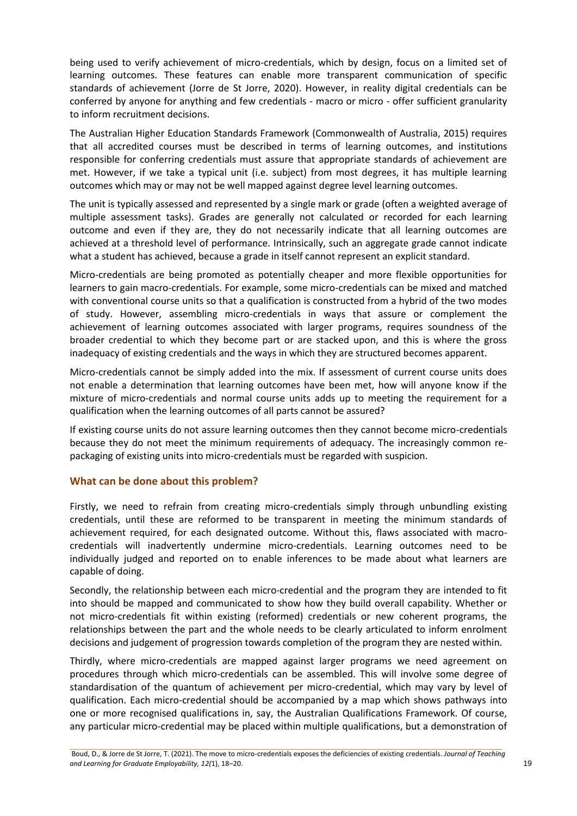being used to verify achievement of micro-credentials, which by design, focus on a limited set of learning outcomes. These features can enable more transparent communication of specific standards of achievement (Jorre de St Jorre, 2020). However, in reality digital credentials can be conferred by anyone for anything and few credentials - macro or micro - offer sufficient granularity to inform recruitment decisions.

The Australian Higher Education Standards Framework (Commonwealth of Australia, 2015) requires that all accredited courses must be described in terms of learning outcomes, and institutions responsible for conferring credentials must assure that appropriate standards of achievement are met. However, if we take a typical unit (i.e. subject) from most degrees, it has multiple learning outcomes which may or may not be well mapped against degree level learning outcomes.

The unit is typically assessed and represented by a single mark or grade (often a weighted average of multiple assessment tasks). Grades are generally not calculated or recorded for each learning outcome and even if they are, they do not necessarily indicate that all learning outcomes are achieved at a threshold level of performance. Intrinsically, such an aggregate grade cannot indicate what a student has achieved, because a grade in itself cannot represent an explicit standard.

Micro-credentials are being promoted as potentially cheaper and more flexible opportunities for learners to gain macro-credentials. For example, some micro-credentials can be mixed and matched with conventional course units so that a qualification is constructed from a hybrid of the two modes of study. However, assembling micro-credentials in ways that assure or complement the achievement of learning outcomes associated with larger programs, requires soundness of the broader credential to which they become part or are stacked upon, and this is where the gross inadequacy of existing credentials and the ways in which they are structured becomes apparent.

Micro-credentials cannot be simply added into the mix. If assessment of current course units does not enable a determination that learning outcomes have been met, how will anyone know if the mixture of micro-credentials and normal course units adds up to meeting the requirement for a qualification when the learning outcomes of all parts cannot be assured?

If existing course units do not assure learning outcomes then they cannot become micro-credentials because they do not meet the minimum requirements of adequacy. The increasingly common repackaging of existing units into micro-credentials must be regarded with suspicion.

### **What can be done about this problem?**

Firstly, we need to refrain from creating micro-credentials simply through unbundling existing credentials, until these are reformed to be transparent in meeting the minimum standards of achievement required, for each designated outcome. Without this, flaws associated with macrocredentials will inadvertently undermine micro-credentials. Learning outcomes need to be individually judged and reported on to enable inferences to be made about what learners are capable of doing.

Secondly, the relationship between each micro-credential and the program they are intended to fit into should be mapped and communicated to show how they build overall capability. Whether or not micro-credentials fit within existing (reformed) credentials or new coherent programs, the relationships between the part and the whole needs to be clearly articulated to inform enrolment decisions and judgement of progression towards completion of the program they are nested within.

Thirdly, where micro-credentials are mapped against larger programs we need agreement on procedures through which micro-credentials can be assembled. This will involve some degree of standardisation of the quantum of achievement per micro-credential, which may vary by level of qualification. Each micro-credential should be accompanied by a map which shows pathways into one or more recognised qualifications in, say, the Australian Qualifications Framework. Of course, any particular micro-credential may be placed within multiple qualifications, but a demonstration of